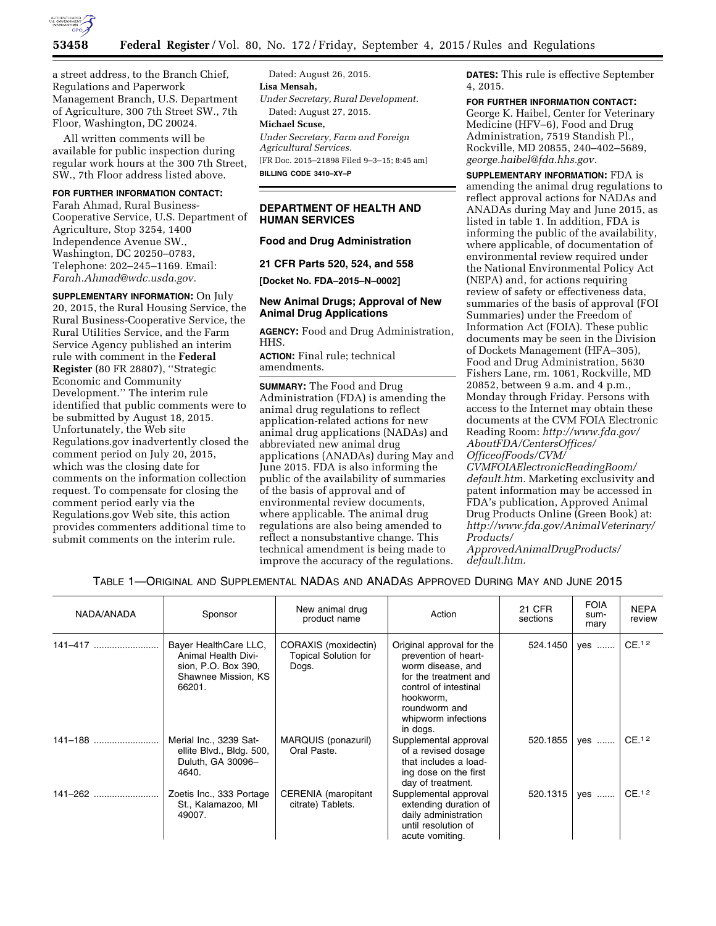

a street address, to the Branch Chief, Regulations and Paperwork Management Branch, U.S. Department of Agriculture, 300 7th Street SW., 7th Floor, Washington, DC 20024.

All written comments will be available for public inspection during regular work hours at the 300 7th Street, SW., 7th Floor address listed above.

## **FOR FURTHER INFORMATION CONTACT:**

Farah Ahmad, Rural Business-Cooperative Service, U.S. Department of Agriculture, Stop 3254, 1400 Independence Avenue SW., Washington, DC 20250–0783, Telephone: 202–245–1169. Email: *[Farah.Ahmad@wdc.usda.gov.](mailto:Farah.Ahmad@wdc.usda.gov)* 

**SUPPLEMENTARY INFORMATION:** On July 20, 2015, the Rural Housing Service, the Rural Business-Cooperative Service, the Rural Utilities Service, and the Farm Service Agency published an interim rule with comment in the **Federal Register** (80 FR 28807), ''Strategic Economic and Community Development.'' The interim rule identified that public comments were to be submitted by August 18, 2015. Unfortunately, the Web site Regulations.gov inadvertently closed the comment period on July 20, 2015, which was the closing date for comments on the information collection request. To compensate for closing the comment period early via the Regulations.gov Web site, this action provides commenters additional time to submit comments on the interim rule.

Dated: August 26, 2015. **Lisa Mensah,**  *Under Secretary, Rural Development.*  Dated: August 27, 2015. **Michael Scuse,**  *Under Secretary, Farm and Foreign* 

*Agricultural Services.*  [FR Doc. 2015–21898 Filed 9–3–15; 8:45 am] **BILLING CODE 3410–XY–P** 

### **DEPARTMENT OF HEALTH AND HUMAN SERVICES**

#### **Food and Drug Administration**

#### **21 CFR Parts 520, 524, and 558**

**[Docket No. FDA–2015–N–0002]** 

### **New Animal Drugs; Approval of New Animal Drug Applications**

**AGENCY:** Food and Drug Administration, HHS.

**ACTION:** Final rule; technical amendments.

**SUMMARY:** The Food and Drug Administration (FDA) is amending the animal drug regulations to reflect application-related actions for new animal drug applications (NADAs) and abbreviated new animal drug applications (ANADAs) during May and June 2015. FDA is also informing the public of the availability of summaries of the basis of approval and of environmental review documents, where applicable. The animal drug regulations are also being amended to reflect a nonsubstantive change. This technical amendment is being made to improve the accuracy of the regulations.

**DATES:** This rule is effective September 4, 2015.

# **FOR FURTHER INFORMATION CONTACT:**

George K. Haibel, Center for Veterinary Medicine (HFV–6), Food and Drug Administration, 7519 Standish Pl., Rockville, MD 20855, 240–402–5689, *[george.haibel@fda.hhs.gov.](mailto:george.haibel@fda.hhs.gov)* 

**SUPPLEMENTARY INFORMATION:** FDA is amending the animal drug regulations to reflect approval actions for NADAs and ANADAs during May and June 2015, as listed in table 1. In addition, FDA is informing the public of the availability, where applicable, of documentation of environmental review required under the National Environmental Policy Act (NEPA) and, for actions requiring review of safety or effectiveness data, summaries of the basis of approval (FOI Summaries) under the Freedom of Information Act (FOIA). These public documents may be seen in the Division of Dockets Management (HFA–305), Food and Drug Administration, 5630 Fishers Lane, rm. 1061, Rockville, MD 20852, between 9 a.m. and 4 p.m., Monday through Friday. Persons with access to the Internet may obtain these documents at the CVM FOIA Electronic Reading Room: *[http://www.fda.gov/](http://www.fda.gov/AboutFDA/CentersOffices/OfficeofFoods/CVM/CVMFOIAElectronicReadingRoom/default.htm) [AboutFDA/CentersOffices/](http://www.fda.gov/AboutFDA/CentersOffices/OfficeofFoods/CVM/CVMFOIAElectronicReadingRoom/default.htm) [OfficeofFoods/CVM/](http://www.fda.gov/AboutFDA/CentersOffices/OfficeofFoods/CVM/CVMFOIAElectronicReadingRoom/default.htm)*

*[CVMFOIAElectronicReadingRoom/](http://www.fda.gov/AboutFDA/CentersOffices/OfficeofFoods/CVM/CVMFOIAElectronicReadingRoom/default.htm) [default.htm.](http://www.fda.gov/AboutFDA/CentersOffices/OfficeofFoods/CVM/CVMFOIAElectronicReadingRoom/default.htm)* Marketing exclusivity and patent information may be accessed in FDA's publication, Approved Animal Drug Products Online (Green Book) at: *[http://www.fda.gov/AnimalVeterinary/](http://www.fda.gov/AnimalVeterinary/Products/ApprovedAnimalDrugProducts/default.htm) [Products/](http://www.fda.gov/AnimalVeterinary/Products/ApprovedAnimalDrugProducts/default.htm)*

*[ApprovedAnimalDrugProducts/](http://www.fda.gov/AnimalVeterinary/Products/ApprovedAnimalDrugProducts/default.htm) [default.htm.](http://www.fda.gov/AnimalVeterinary/Products/ApprovedAnimalDrugProducts/default.htm)* 

### TABLE 1—ORIGINAL AND SUPPLEMENTAL NADAS AND ANADAS APPROVED DURING MAY AND JUNE 2015

| NADA/ANADA  | Sponsor                                                                                              | New animal drug<br>product name                              | Action                                                                                                                                                                                    | 21 CFR<br>sections | <b>FOIA</b><br>sum-<br>mary | <b>NEPA</b><br>review |
|-------------|------------------------------------------------------------------------------------------------------|--------------------------------------------------------------|-------------------------------------------------------------------------------------------------------------------------------------------------------------------------------------------|--------------------|-----------------------------|-----------------------|
| $141 - 417$ | Bayer HealthCare LLC,<br>Animal Health Divi-<br>sion, P.O. Box 390,<br>Shawnee Mission, KS<br>66201. | CORAXIS (moxidectin)<br><b>Topical Solution for</b><br>Dogs. | Original approval for the<br>prevention of heart-<br>worm disease, and<br>for the treatment and<br>control of intestinal<br>hookworm,<br>roundworm and<br>whipworm infections<br>in dogs. | 524.1450           | yes                         | CE.12                 |
| 141-188     | Merial Inc., 3239 Sat-<br>ellite Blvd., Bldg. 500,<br>Duluth, GA 30096-<br>4640.                     | MARQUIS (ponazuril)<br>Oral Paste.                           | Supplemental approval<br>of a revised dosage<br>that includes a load-<br>ing dose on the first<br>day of treatment.                                                                       | 520.1855           | yes                         | CE. <sup>12</sup>     |
| 141-262     | Zoetis Inc., 333 Portage<br>St., Kalamazoo, MI<br>49007.                                             | CERENIA (maropitant<br>citrate) Tablets.                     | Supplemental approval<br>extending duration of<br>daily administration<br>until resolution of<br>acute vomiting.                                                                          | 520.1315           | yes                         | CE. <sup>12</sup>     |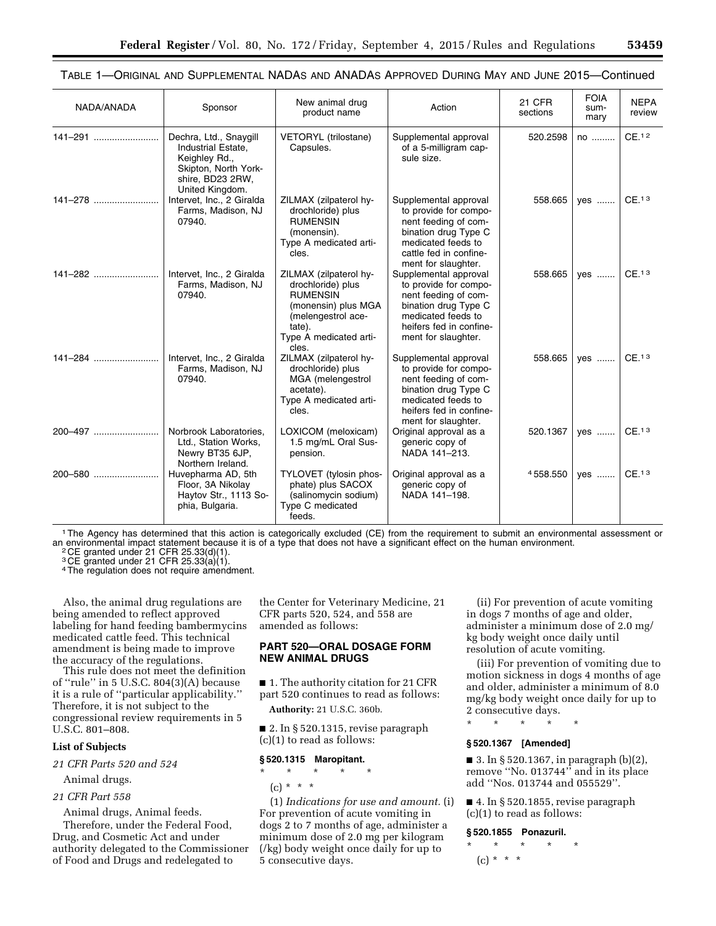| NADA/ANADA | Sponsor                                                                                                                      | New animal drug<br>product name                                                                                                                          | Action                                                                                                                                                                 | <b>21 CFR</b><br>sections | <b>FOIA</b><br>sum-<br>mary | <b>NEPA</b><br>review |
|------------|------------------------------------------------------------------------------------------------------------------------------|----------------------------------------------------------------------------------------------------------------------------------------------------------|------------------------------------------------------------------------------------------------------------------------------------------------------------------------|---------------------------|-----------------------------|-----------------------|
| 141-291    | Dechra, Ltd., Snaygill<br>Industrial Estate,<br>Keighley Rd.,<br>Skipton, North York-<br>shire, BD23 2RW,<br>United Kingdom. | <b>VETORYL</b> (trilostane)<br>Capsules.                                                                                                                 | Supplemental approval<br>of a 5-milligram cap-<br>sule size.                                                                                                           | 520.2598                  | no                          | CE. <sup>12</sup>     |
| 141–278    | Intervet, Inc., 2 Giralda<br>Farms, Madison, NJ<br>07940.                                                                    | ZILMAX (zilpaterol hy-<br>drochloride) plus<br><b>RUMENSIN</b><br>(monensin).<br>Type A medicated arti-<br>cles.                                         | Supplemental approval<br>to provide for compo-<br>nent feeding of com-<br>bination drug Type C<br>medicated feeds to<br>cattle fed in confine-<br>ment for slaughter.  | 558.665                   | yes                         | CE. <sup>13</sup>     |
| 141–282    | Intervet, Inc., 2 Giralda<br>Farms, Madison, NJ<br>07940.                                                                    | ZILMAX (zilpaterol hy-<br>drochloride) plus<br><b>RUMENSIN</b><br>(monensin) plus MGA<br>(melengestrol ace-<br>tate).<br>Type A medicated arti-<br>cles. | Supplemental approval<br>to provide for compo-<br>nent feeding of com-<br>bination drug Type C<br>medicated feeds to<br>heifers fed in confine-<br>ment for slaughter. | 558.665                   | ves                         | CE. <sup>13</sup>     |
| 141-284    | Intervet, Inc., 2 Giralda<br>Farms, Madison, NJ<br>07940.                                                                    | ZILMAX (zilpaterol hy-<br>drochloride) plus<br>MGA (melengestrol<br>acetate).<br>Type A medicated arti-<br>cles.                                         | Supplemental approval<br>to provide for compo-<br>nent feeding of com-<br>bination drug Type C<br>medicated feeds to<br>heifers fed in confine-<br>ment for slaughter. | 558.665                   | yes                         | CE. <sup>13</sup>     |
| 200-497    | Norbrook Laboratories,<br>Ltd., Station Works,<br>Newry BT35 6JP,<br>Northern Ireland.                                       | LOXICOM (meloxicam)<br>1.5 mg/mL Oral Sus-<br>pension.                                                                                                   | Original approval as a<br>generic copy of<br>NADA 141-213.                                                                                                             | 520.1367                  | yes                         | CE. <sup>13</sup>     |
| 200-580    | Huvepharma AD, 5th<br>Floor, 3A Nikolay<br>Haytov Str., 1113 So-<br>phia, Bulgaria.                                          | TYLOVET (tylosin phos-<br>phate) plus SACOX<br>(salinomycin sodium)<br>Type C medicated<br>feeds.                                                        | Original approval as a<br>generic copy of<br>NADA 141-198.                                                                                                             | 4558.550                  | yes                         | CE. <sup>13</sup>     |

TABLE 1—ORIGINAL AND SUPPLEMENTAL NADAS AND ANADAS APPROVED DURING MAY AND JUNE 2015—Continued

1The Agency has determined that this action is categorically excluded (CE) from the requirement to submit an environmental assessment or an environmental impact statement because it is of a type that does not have a significant effect on the human environment.<br><sup>2</sup> CE granted under 21 CFR 25.33(d)(1).

 $3$  CE granted under 21 CFR 25.33 $\langle a \rangle$ (1).

4 The regulation does not require amendment.

Also, the animal drug regulations are being amended to reflect approved labeling for hand feeding bambermycins medicated cattle feed. This technical amendment is being made to improve the accuracy of the regulations.

This rule does not meet the definition of ''rule'' in 5 U.S.C. 804(3)(A) because it is a rule of ''particular applicability.'' Therefore, it is not subject to the congressional review requirements in 5 U.S.C. 801–808.

### **List of Subjects**

*21 CFR Parts 520 and 524* 

Animal drugs.

#### *21 CFR Part 558*

Animal drugs, Animal feeds.

Therefore, under the Federal Food, Drug, and Cosmetic Act and under authority delegated to the Commissioner of Food and Drugs and redelegated to

the Center for Veterinary Medicine, 21 CFR parts 520, 524, and 558 are amended as follows:

### **PART 520—ORAL DOSAGE FORM NEW ANIMAL DRUGS**

■ 1. The authority citation for 21 CFR part 520 continues to read as follows:

**Authority:** 21 U.S.C. 360b.

■ 2. In § 520.1315, revise paragraph (c)(1) to read as follows:

### **§ 520.1315 Maropitant.**

\* \* \* \* \*

 $(c) * * * *$ 

(1) *Indications for use and amount.* (i) For prevention of acute vomiting in dogs 2 to 7 months of age, administer a minimum dose of 2.0 mg per kilogram (/kg) body weight once daily for up to 5 consecutive days.

(ii) For prevention of acute vomiting in dogs 7 months of age and older, administer a minimum dose of 2.0 mg/ kg body weight once daily until resolution of acute vomiting.

(iii) For prevention of vomiting due to motion sickness in dogs 4 months of age and older, administer a minimum of 8.0 mg/kg body weight once daily for up to 2 consecutive days.

\* \* \* \* \*

### **§ 520.1367 [Amended]**

■ 3. In § 520.1367, in paragraph  $(b)(2)$ , remove ''No. 013744'' and in its place add ''Nos. 013744 and 055529''.

■ 4. In § 520.1855, revise paragraph (c)(1) to read as follows:

#### **§ 520.1855 Ponazuril.**

\* \* \* \* \*  $(c) * * * *$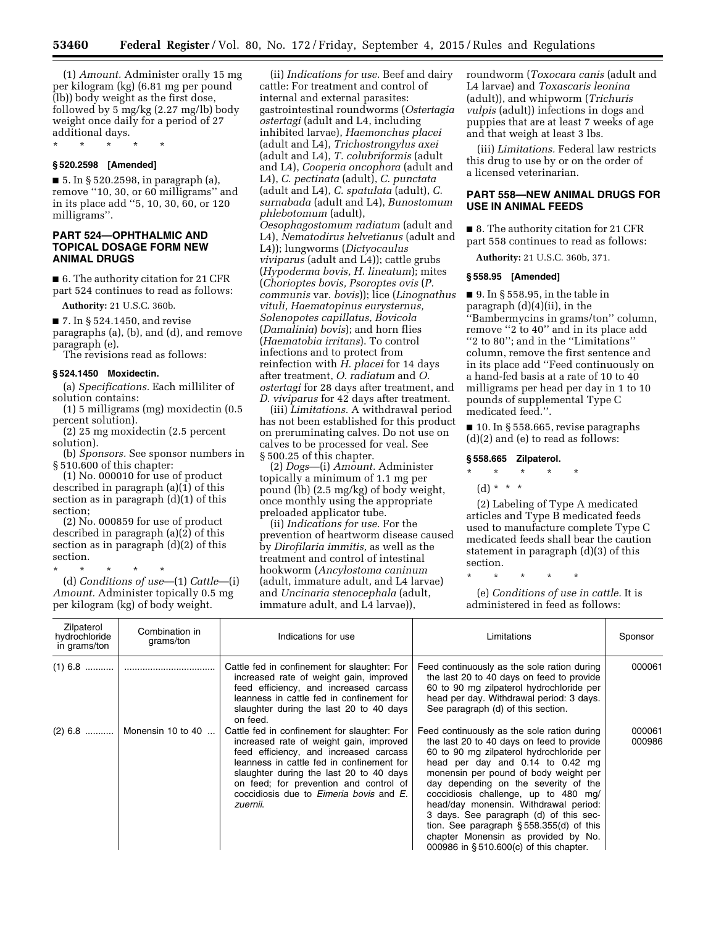(1) *Amount.* Administer orally 15 mg per kilogram (kg) (6.81 mg per pound (lb)) body weight as the first dose, followed by 5 mg/kg (2.27 mg/lb) body weight once daily for a period of 27 additional days.

\* \* \* \* \*

### **§ 520.2598 [Amended]**

■ 5. In § 520.2598, in paragraph (a), remove ''10, 30, or 60 milligrams'' and in its place add ''5, 10, 30, 60, or 120 milligrams''.

### **PART 524—OPHTHALMIC AND TOPICAL DOSAGE FORM NEW ANIMAL DRUGS**

■ 6. The authority citation for 21 CFR part 524 continues to read as follows:

**Authority:** 21 U.S.C. 360b.

■ 7. In § 524.1450, and revise

paragraphs (a), (b), and (d), and remove paragraph (e).

The revisions read as follows:

#### **§ 524.1450 Moxidectin.**

(a) *Specifications.* Each milliliter of solution contains:

(1) 5 milligrams (mg) moxidectin (0.5 percent solution).

(2) 25 mg moxidectin (2.5 percent solution).

(b) *Sponsors.* See sponsor numbers in § 510.600 of this chapter:

(1) No. 000010 for use of product described in paragraph (a)(1) of this section as in paragraph  $(d)(1)$  of this section;

(2) No. 000859 for use of product described in paragraph (a)(2) of this section as in paragraph (d)(2) of this section.

\* \* \* \* \*

(d) *Conditions of use*—(1) *Cattle*—(i) *Amount.* Administer topically 0.5 mg per kilogram (kg) of body weight.

(ii) *Indications for use.* Beef and dairy cattle: For treatment and control of internal and external parasites: gastrointestinal roundworms (*Ostertagia ostertagi* (adult and L4, including inhibited larvae), *Haemonchus placei*  (adult and L4), *Trichostrongylus axei*  (adult and L4), *T. colubriformis* (adult and L4), *Cooperia oncophora* (adult and L4), *C. pectinata* (adult), *C. punctata*  (adult and L4), *C. spatulata* (adult), *C. surnabada* (adult and L4), *Bunostomum phlebotomum* (adult), *Oesophagostomum radiatum* (adult and L4), *Nematodirus helvetianus* (adult and L4)); lungworms (*Dictyocaulus viviparus* (adult and L4)); cattle grubs (*Hypoderma bovis, H. lineatum*); mites (*Chorioptes bovis, Psoroptes ovis* (*P. communis* var. *bovis*)); lice (*Linognathus vituli, Haematopinus eurysternus, Solenopotes capillatus, Bovicola*  (*Damalinia*) *bovis*); and horn flies (*Haematobia irritans*). To control infections and to protect from reinfection with *H. placei* for 14 days after treatment, *O. radiatum* and *O. ostertagi* for 28 days after treatment, and *D. viviparus* for 42 days after treatment.

(iii) *Limitations.* A withdrawal period has not been established for this product on preruminating calves. Do not use on calves to be processed for veal. See § 500.25 of this chapter.

(2) *Dogs*—(i) *Amount.* Administer topically a minimum of 1.1 mg per pound (lb) (2.5 mg/kg) of body weight, once monthly using the appropriate preloaded applicator tube.

(ii) *Indications for use.* For the prevention of heartworm disease caused by *Dirofilaria immitis,* as well as the treatment and control of intestinal hookworm (*Ancylostoma caninum*  (adult, immature adult, and L4 larvae) and *Uncinaria stenocephala* (adult, immature adult, and L4 larvae)),

roundworm (*Toxocara canis* (adult and L4 larvae) and *Toxascaris leonina*  (adult)), and whipworm (*Trichuris vulpis* (adult)) infections in dogs and puppies that are at least 7 weeks of age and that weigh at least 3 lbs.

(iii) *Limitations.* Federal law restricts this drug to use by or on the order of a licensed veterinarian.

### **PART 558—NEW ANIMAL DRUGS FOR USE IN ANIMAL FEEDS**

■ 8. The authority citation for 21 CFR part 558 continues to read as follows:

**Authority:** 21 U.S.C. 360b, 371.

#### **§ 558.95 [Amended]**

 $\blacksquare$  9. In § 558.95, in the table in paragraph (d)(4)(ii), in the ''Bambermycins in grams/ton'' column,

remove ''2 to 40'' and in its place add ''2 to 80''; and in the ''Limitations'' column, remove the first sentence and in its place add ''Feed continuously on a hand-fed basis at a rate of 10 to 40 milligrams per head per day in 1 to 10 pounds of supplemental Type C medicated feed.''.

■ 10. In § 558.665, revise paragraphs (d)(2) and (e) to read as follows:

#### **§ 558.665 Zilpaterol.**

- \* \* \* \* \*
	- (d) \* \* \*

(2) Labeling of Type A medicated articles and Type B medicated feeds used to manufacture complete Type C medicated feeds shall bear the caution statement in paragraph (d)(3) of this section.

\* \* \* \* \*

(e) *Conditions of use in cattle.* It is administered in feed as follows:

| Zilpaterol<br>hydrochloride<br>in grams/ton | Combination in<br>grams/ton | Indications for use                                                                                                                                                                                                                                                                                                        | Limitations                                                                                                                                                                                                                                                                                                                                                                                                                                                                                                       | Sponsor          |
|---------------------------------------------|-----------------------------|----------------------------------------------------------------------------------------------------------------------------------------------------------------------------------------------------------------------------------------------------------------------------------------------------------------------------|-------------------------------------------------------------------------------------------------------------------------------------------------------------------------------------------------------------------------------------------------------------------------------------------------------------------------------------------------------------------------------------------------------------------------------------------------------------------------------------------------------------------|------------------|
| $(1)$ 6.8                                   |                             | Cattle fed in confinement for slaughter: For<br>increased rate of weight gain, improved<br>feed efficiency, and increased carcass<br>leanness in cattle fed in confinement for<br>slaughter during the last 20 to 40 days<br>on feed.                                                                                      | Feed continuously as the sole ration during<br>the last 20 to 40 days on feed to provide<br>60 to 90 mg zilpaterol hydrochloride per<br>head per day. Withdrawal period: 3 days.<br>See paragraph (d) of this section.                                                                                                                                                                                                                                                                                            | 000061           |
| $(2)$ 6.8                                   | Monensin 10 to 40           | Cattle fed in confinement for slaughter: For<br>increased rate of weight gain, improved<br>feed efficiency, and increased carcass<br>leanness in cattle fed in confinement for<br>slaughter during the last 20 to 40 days<br>on feed; for prevention and control of<br>coccidiosis due to Eimeria bovis and E.<br>zuernii. | Feed continuously as the sole ration during<br>the last 20 to 40 days on feed to provide<br>60 to 90 mg zilpaterol hydrochloride per<br>head per day and 0.14 to 0.42 mg<br>monensin per pound of body weight per<br>day depending on the severity of the<br>coccidiosis challenge, up to 480 mg/<br>head/day monensin. Withdrawal period:<br>3 days. See paragraph (d) of this sec-<br>tion. See paragraph § 558.355(d) of this<br>chapter Monensin as provided by No.<br>000986 in §510.600(c) of this chapter. | 000061<br>000986 |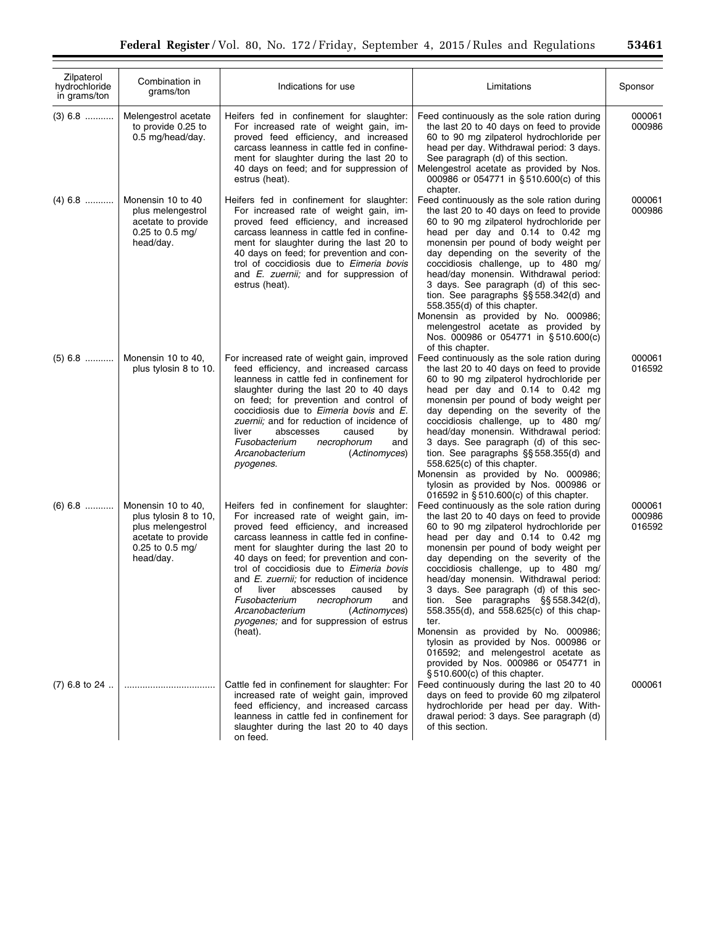| Zilpaterol<br>hydrochloride<br>in grams/ton | Combination in<br>grams/ton                                                                                            | Indications for use                                                                                                                                                                                                                                                                                                                                                                                                                                                                                                                          | Limitations                                                                                                                                                                                                                                                                                                                                                                                                                                                                                                                                                                                                                                    | Sponsor                    |
|---------------------------------------------|------------------------------------------------------------------------------------------------------------------------|----------------------------------------------------------------------------------------------------------------------------------------------------------------------------------------------------------------------------------------------------------------------------------------------------------------------------------------------------------------------------------------------------------------------------------------------------------------------------------------------------------------------------------------------|------------------------------------------------------------------------------------------------------------------------------------------------------------------------------------------------------------------------------------------------------------------------------------------------------------------------------------------------------------------------------------------------------------------------------------------------------------------------------------------------------------------------------------------------------------------------------------------------------------------------------------------------|----------------------------|
| $(3)$ 6.8                                   | Melengestrol acetate<br>to provide 0.25 to<br>0.5 mg/head/day.                                                         | Heifers fed in confinement for slaughter:<br>For increased rate of weight gain, im-<br>proved feed efficiency, and increased<br>carcass leanness in cattle fed in confine-<br>ment for slaughter during the last 20 to<br>40 days on feed; and for suppression of<br>estrus (heat).                                                                                                                                                                                                                                                          | Feed continuously as the sole ration during<br>the last 20 to 40 days on feed to provide<br>60 to 90 mg zilpaterol hydrochloride per<br>head per day. Withdrawal period: 3 days.<br>See paragraph (d) of this section.<br>Melengestrol acetate as provided by Nos.<br>000986 or 054771 in §510.600(c) of this<br>chapter.                                                                                                                                                                                                                                                                                                                      | 000061<br>000986           |
| $(4)$ 6.8                                   | Monensin 10 to 40<br>plus melengestrol<br>acetate to provide<br>0.25 to 0.5 mg/<br>head/day.                           | Heifers fed in confinement for slaughter:<br>For increased rate of weight gain, im-<br>proved feed efficiency, and increased<br>carcass leanness in cattle fed in confine-<br>ment for slaughter during the last 20 to<br>40 days on feed; for prevention and con-<br>trol of coccidiosis due to Eimeria bovis<br>and <i>E. zuernii</i> ; and for suppression of<br>estrus (heat).                                                                                                                                                           | Feed continuously as the sole ration during<br>the last 20 to 40 days on feed to provide<br>60 to 90 mg zilpaterol hydrochloride per<br>head per day and 0.14 to 0.42 mg<br>monensin per pound of body weight per<br>day depending on the severity of the<br>coccidiosis challenge, up to 480 mg/<br>head/day monensin. Withdrawal period:<br>3 days. See paragraph (d) of this sec-<br>tion. See paragraphs $\S$ § 558.342(d) and<br>558.355(d) of this chapter.<br>Monensin as provided by No. 000986;<br>melengestrol acetate as provided by<br>Nos. 000986 or 054771 in §510.600(c)<br>of this chapter.                                    | 000061<br>000986           |
| $(5)$ 6.8                                   | Monensin 10 to 40,<br>plus tylosin 8 to 10.                                                                            | For increased rate of weight gain, improved<br>feed efficiency, and increased carcass<br>leanness in cattle fed in confinement for<br>slaughter during the last 20 to 40 days<br>on feed; for prevention and control of<br>coccidiosis due to <i>Eimeria bovis</i> and <i>E</i> .<br>zuernii; and for reduction of incidence of<br>liver<br>abscesses<br>caused<br>by<br>Fusobacterium<br>necrophorum<br>and<br>Arcanobacterium<br>(Actinomyces)<br>pyogenes.                                                                                | Feed continuously as the sole ration during<br>the last 20 to 40 days on feed to provide<br>60 to 90 mg zilpaterol hydrochloride per<br>head per day and 0.14 to 0.42 mg<br>monensin per pound of body weight per<br>day depending on the severity of the<br>coccidiosis challenge, up to 480 mg/<br>head/day monensin. Withdrawal period:<br>3 days. See paragraph (d) of this sec-<br>tion. See paragraphs $\S$ § 558.355(d) and<br>558.625(c) of this chapter.<br>Monensin as provided by No. 000986;<br>tylosin as provided by Nos. 000986 or<br>016592 in §510.600(c) of this chapter.                                                    | 000061<br>016592           |
| $(6)$ 6.8                                   | Monensin 10 to 40,<br>plus tylosin 8 to 10,<br>plus melengestrol<br>acetate to provide<br>0.25 to 0.5 mg/<br>head/day. | Heifers fed in confinement for slaughter:<br>For increased rate of weight gain, im-<br>proved feed efficiency, and increased<br>carcass leanness in cattle fed in confine-<br>ment for slaughter during the last 20 to<br>40 days on feed; for prevention and con-<br>trol of coccidiosis due to Eimeria bovis<br>and <i>E. zuernii</i> ; for reduction of incidence<br>of liver abscesses caused by<br>Fusobacterium<br>necrophorum<br>and<br>Arcanobacterium<br>(Actinomyces)<br><i>pyogenes;</i> and for suppression of estrus<br>(heat). | Feed continuously as the sole ration during<br>the last 20 to 40 days on feed to provide<br>60 to 90 mg zilpaterol hydrochloride per<br>head per day and 0.14 to 0.42 mg<br>monensin per pound of body weight per<br>day depending on the severity of the<br>coccidiosis challenge, up to 480 mg/<br>head/day monensin. Withdrawal period:<br>3 days. See paragraph (d) of this sec-<br>tion. See paragraphs §§ 558.342(d),<br>558.355(d), and 558.625(c) of this chap-<br>ter.<br>Monensin as provided by No. 000986;<br>tylosin as provided by Nos. 000986 or<br>016592; and melengestrol acetate as<br>provided by Nos. 000986 or 054771 in | 000061<br>000986<br>016592 |
| $(7)$ 6.8 to 24                             |                                                                                                                        | Cattle fed in confinement for slaughter: For<br>increased rate of weight gain, improved<br>feed efficiency, and increased carcass<br>leanness in cattle fed in confinement for<br>slaughter during the last 20 to 40 days<br>on feed.                                                                                                                                                                                                                                                                                                        | §510.600(c) of this chapter.<br>Feed continuously during the last 20 to 40<br>days on feed to provide 60 mg zilpaterol<br>hydrochloride per head per day. With-<br>drawal period: 3 days. See paragraph (d)<br>of this section.                                                                                                                                                                                                                                                                                                                                                                                                                | 000061                     |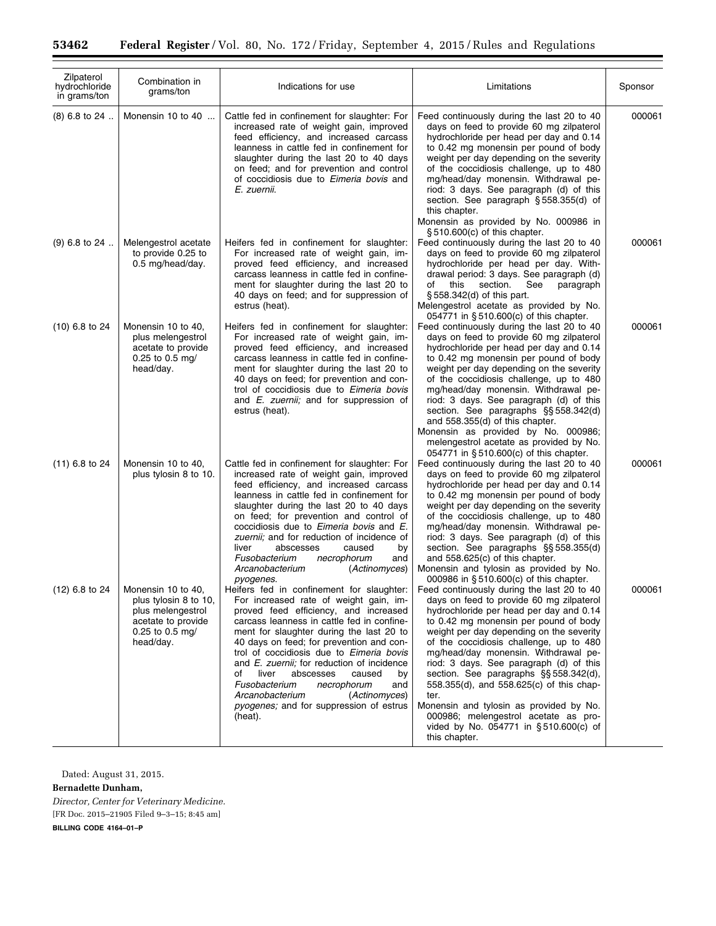| Zilpaterol<br>hydrochloride<br>in grams/ton | Combination in<br>grams/ton                                                                                            | Indications for use                                                                                                                                                                                                                                                                                                                                                                                                                                                                                                                               | Limitations                                                                                                                                                                                                                                                                                                                                                                                                                                                                                                                                                                                     | Sponsor |
|---------------------------------------------|------------------------------------------------------------------------------------------------------------------------|---------------------------------------------------------------------------------------------------------------------------------------------------------------------------------------------------------------------------------------------------------------------------------------------------------------------------------------------------------------------------------------------------------------------------------------------------------------------------------------------------------------------------------------------------|-------------------------------------------------------------------------------------------------------------------------------------------------------------------------------------------------------------------------------------------------------------------------------------------------------------------------------------------------------------------------------------------------------------------------------------------------------------------------------------------------------------------------------------------------------------------------------------------------|---------|
| $(8)$ 6.8 to 24                             | Monensin 10 to 40                                                                                                      | Cattle fed in confinement for slaughter: For<br>increased rate of weight gain, improved<br>feed efficiency, and increased carcass<br>leanness in cattle fed in confinement for<br>slaughter during the last 20 to 40 days<br>on feed; and for prevention and control<br>of coccidiosis due to <i>Eimeria bovis</i> and<br>E. zuernii.                                                                                                                                                                                                             | Feed continuously during the last 20 to 40<br>days on feed to provide 60 mg zilpaterol<br>hydrochloride per head per day and 0.14<br>to 0.42 mg monensin per pound of body<br>weight per day depending on the severity<br>of the coccidiosis challenge, up to 480<br>mg/head/day monensin. Withdrawal pe-<br>riod: 3 days. See paragraph (d) of this<br>section. See paragraph § 558.355(d) of<br>this chapter.<br>Monensin as provided by No. 000986 in<br>§510.600(c) of this chapter.                                                                                                        | 000061  |
| $(9)$ 6.8 to 24                             | Melengestrol acetate<br>to provide 0.25 to<br>0.5 mg/head/day.                                                         | Heifers fed in confinement for slaughter:<br>For increased rate of weight gain, im-<br>proved feed efficiency, and increased<br>carcass leanness in cattle fed in confine-<br>ment for slaughter during the last 20 to<br>40 days on feed; and for suppression of<br>estrus (heat).                                                                                                                                                                                                                                                               | Feed continuously during the last 20 to 40<br>days on feed to provide 60 mg zilpaterol<br>hydrochloride per head per day. With-<br>drawal period: 3 days. See paragraph (d)<br>section.<br>of<br>this<br>See<br>paragraph<br>§ 558.342(d) of this part.<br>Melengestrol acetate as provided by No.<br>054771 in §510.600(c) of this chapter.                                                                                                                                                                                                                                                    | 000061  |
| $(10)$ 6.8 to 24                            | Monensin 10 to 40,<br>plus melengestrol<br>acetate to provide<br>0.25 to 0.5 mg/<br>head/day.                          | Heifers fed in confinement for slaughter:<br>For increased rate of weight gain, im-<br>proved feed efficiency, and increased<br>carcass leanness in cattle fed in confine-<br>ment for slaughter during the last 20 to<br>40 days on feed; for prevention and con-<br>trol of coccidiosis due to Eimeria bovis<br>and E. zuernii; and for suppression of<br>estrus (heat).                                                                                                                                                                        | Feed continuously during the last 20 to 40<br>days on feed to provide 60 mg zilpaterol<br>hydrochloride per head per day and 0.14<br>to 0.42 mg monensin per pound of body<br>weight per day depending on the severity<br>of the coccidiosis challenge, up to 480<br>mg/head/day monensin. Withdrawal pe-<br>riod: 3 days. See paragraph (d) of this<br>section. See paragraphs §§ 558.342(d)<br>and 558.355(d) of this chapter.<br>Monensin as provided by No. 000986;<br>melengestrol acetate as provided by No.<br>054771 in §510.600(c) of this chapter.                                    | 000061  |
| $(11)$ 6.8 to 24                            | Monensin 10 to 40,<br>plus tylosin 8 to 10.                                                                            | Cattle fed in confinement for slaughter: For<br>increased rate of weight gain, improved<br>feed efficiency, and increased carcass<br>leanness in cattle fed in confinement for<br>slaughter during the last 20 to 40 days<br>on feed; for prevention and control of<br>coccidiosis due to <i>Eimeria bovis</i> and <i>E</i> .<br>zuernii; and for reduction of incidence of<br>abscesses<br>liver<br>caused<br>by<br>Fusobacterium<br>necrophorum<br>and<br>Arcanobacterium<br>(Actinomyces)<br>pyogenes.                                         | Feed continuously during the last 20 to 40<br>days on feed to provide 60 mg zilpaterol<br>hydrochloride per head per day and 0.14<br>to 0.42 mg monensin per pound of body<br>weight per day depending on the severity<br>of the coccidiosis challenge, up to 480<br>mg/head/day monensin. Withdrawal pe-<br>riod: 3 days. See paragraph (d) of this<br>section. See paragraphs §§ 558.355(d)<br>and 558.625(c) of this chapter.<br>Monensin and tylosin as provided by No.<br>000986 in §510.600(c) of this chapter.                                                                           | 000061  |
| $(12)$ 6.8 to 24                            | Monensin 10 to 40,<br>plus tylosin 8 to 10.<br>plus melengestrol<br>acetate to provide<br>0.25 to 0.5 mg/<br>head/day. | Heifers fed in confinement for slaughter:<br>For increased rate of weight gain, im-<br>proved feed efficiency, and increased<br>carcass leanness in cattle fed in confine-<br>ment for slaughter during the last 20 to<br>40 days on feed; for prevention and con-<br>trol of coccidiosis due to Eimeria bovis<br>and <i>E. zuernii</i> ; for reduction of incidence<br>liver<br>abscesses<br>caused<br>οf<br>by<br>Fusobacterium<br>necrophorum<br>and<br>Arcanobacterium<br>(Actinomyces)<br>pyogenes; and for suppression of estrus<br>(heat). | Feed continuously during the last 20 to 40<br>days on feed to provide 60 mg zilpaterol<br>hydrochloride per head per day and 0.14<br>to 0.42 mg monensin per pound of body<br>weight per day depending on the severity<br>of the coccidiosis challenge, up to 480<br>mg/head/day monensin. Withdrawal pe-<br>riod: 3 days. See paragraph (d) of this<br>section. See paragraphs §§ 558.342(d),<br>558.355(d), and 558.625(c) of this chap-<br>ter.<br>Monensin and tylosin as provided by No.<br>000986; melengestrol acetate as pro-<br>vided by No. 054771 in §510.600(c) of<br>this chapter. | 000061  |

Dated: August 31, 2015.

 $\equiv$ 

**Bernadette Dunham,**  *Director, Center for Veterinary Medicine.*  [FR Doc. 2015–21905 Filed 9–3–15; 8:45 am]

**BILLING CODE 4164–01–P**